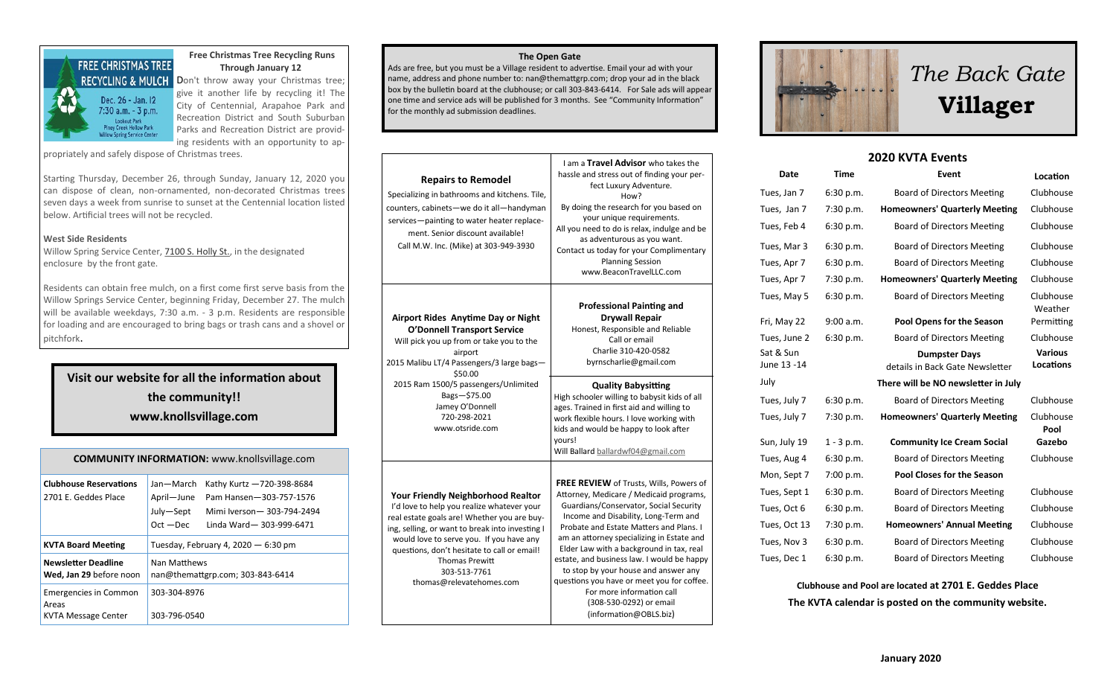

#### **Free Christmas Tree Recycling Runs Through January 12**

give it another life by recycling it! The City of Centennial, Arapahoe Park and Recreation District and South Suburban Parks and Recreation District are providing residents with an opportunity to ap-

propriately and safely dispose of Christmas trees.

Starting Thursday, December 26, through Sunday, January 12, 2020 you can dispose of clean, non-ornamented, non-decorated Christmas trees seven days a week from sunrise to sunset at the Centennial location listed below. Artificial trees will not be recycled.

#### **West Side Residents**

Willow Spring Service Center, [7100 S. Holly St.,](https://www.google.com/maps/dir/) in the designated enclosure by the front gate.

Residents can obtain free mulch, on a first come first serve basis from the Willow Springs Service Center, beginning Friday, December 27. The mulch will be available weekdays, 7:30 a.m. - 3 p.m. Residents are responsible for loading and are encouraged to bring bags or trash cans and a shovel or pitchfork.

**Visit our website for all the information about the community!! www.knollsvillage.com**

| <b>COMMUNITY INFORMATION:</b> www.knollsvillage.com   |                                                                                                                                                                       |  |  |
|-------------------------------------------------------|-----------------------------------------------------------------------------------------------------------------------------------------------------------------------|--|--|
| <b>Clubhouse Reservations</b><br>2701 E. Geddes Place | Jan—March<br>Kathy Kurtz -720-398-8684<br>Pam Hansen-303-757-1576<br>April-June<br>July-Sept<br>Mimi Iverson - 303-794-2494<br>$Oct - Dec$<br>Linda Ward-303-999-6471 |  |  |
|                                                       | Tuesday, February 4, 2020 $-6:30$ pm                                                                                                                                  |  |  |
| <b>KVTA Board Meeting</b>                             |                                                                                                                                                                       |  |  |
| <b>Newsletter Deadline</b><br>Wed, Jan 29 before noon | Nan Matthews<br>nan@themattgrp.com; 303-843-6414                                                                                                                      |  |  |

#### **The Open Gate**

Ads are free, but you must be a Village resident to advertise. Email your ad with your name, address and phone number to: nan@themattgrp.com; drop your ad in the black box by the bulletin board at the clubhouse; or call 303-843-6414. For Sale ads will appear one time and service ads will be published for 3 months. See "Community Information" for the monthly ad submission deadlines.

| <b>Repairs to Remodel</b><br>Specializing in bathrooms and kitchens. Tile,<br>counters, cabinets-we do it all-handyman<br>services-painting to water heater replace-<br>ment. Senior discount available!<br>Call M.W. Inc. (Mike) at 303-949-3930                                                                                                         | I am a Travel Advisor who takes the<br>hassle and stress out of finding your per-<br>fect Luxury Adventure.<br>How?<br>By doing the research for you based on<br>your unique requirements.<br>All you need to do is relax, indulge and be<br>as adventurous as you want.<br>Contact us today for your Complimentary<br><b>Planning Session</b><br>www.BeaconTravelLLC.com                                                                                                                                                      |
|-----------------------------------------------------------------------------------------------------------------------------------------------------------------------------------------------------------------------------------------------------------------------------------------------------------------------------------------------------------|--------------------------------------------------------------------------------------------------------------------------------------------------------------------------------------------------------------------------------------------------------------------------------------------------------------------------------------------------------------------------------------------------------------------------------------------------------------------------------------------------------------------------------|
| <b>Airport Rides Anytime Day or Night</b><br><b>O'Donnell Transport Service</b><br>Will pick you up from or take you to the<br>airport<br>2015 Malibu LT/4 Passengers/3 large bags-<br>\$50.00                                                                                                                                                            | <b>Professional Painting and</b><br><b>Drywall Repair</b><br>Honest, Responsible and Reliable<br>Call or email<br>Charlie 310-420-0582<br>byrnscharlie@gmail.com                                                                                                                                                                                                                                                                                                                                                               |
| 2015 Ram 1500/5 passengers/Unlimited<br>Bags-\$75.00<br>Jamey O'Donnell<br>720-298-2021<br>www.otsride.com                                                                                                                                                                                                                                                | <b>Quality Babysitting</b><br>High schooler willing to babysit kids of all<br>ages. Trained in first aid and willing to<br>work flexible hours. I love working with<br>kids and would be happy to look after<br>vours!<br>Will Ballard ballardwf04@gmail.com                                                                                                                                                                                                                                                                   |
| <b>Your Friendly Neighborhood Realtor</b><br>I'd love to help you realize whatever your<br>real estate goals are! Whether you are buy-<br>ing, selling, or want to break into investing I<br>would love to serve you. If you have any<br>questions, don't hesitate to call or email!<br><b>Thomas Prewitt</b><br>303-513-7761<br>thomas@relevatehomes.com | FREE REVIEW of Trusts, Wills, Powers of<br>Attorney, Medicare / Medicaid programs,<br>Guardians/Conservator, Social Security<br>Income and Disability, Long-Term and<br>Probate and Estate Matters and Plans. I<br>am an attorney specializing in Estate and<br>Elder Law with a background in tax, real<br>estate, and business law. I would be happy<br>to stop by your house and answer any<br>questions you have or meet you for coffee.<br>For more information call<br>(308-530-0292) or email<br>(information@OBLS.biz) |





### **2020 KVTA Events**

| Date                     | <b>Time</b>  | Event                                                   | Location                           |
|--------------------------|--------------|---------------------------------------------------------|------------------------------------|
| Tues, Jan 7              | 6:30 p.m.    | <b>Board of Directors Meeting</b>                       | Clubhouse                          |
| Tues, Jan 7              | 7:30 p.m.    | <b>Homeowners' Quarterly Meeting</b>                    | Clubhouse                          |
| Tues, Feb 4              | 6:30 p.m.    | <b>Board of Directors Meeting</b>                       | Clubhouse                          |
| Tues, Mar 3              | 6:30 p.m.    | <b>Board of Directors Meeting</b>                       | Clubhouse                          |
| Tues, Apr 7              | 6:30 p.m.    | <b>Board of Directors Meeting</b>                       | Clubhouse                          |
| Tues, Apr 7              | 7:30 p.m.    | <b>Homeowners' Quarterly Meeting</b>                    | Clubhouse                          |
| Tues, May 5              | 6:30 p.m.    | <b>Board of Directors Meeting</b>                       | Clubhouse<br>Weather               |
| Fri, May 22              | 9:00 a.m.    | <b>Pool Opens for the Season</b>                        | Permitting                         |
| Tues, June 2             | 6:30 p.m.    | <b>Board of Directors Meeting</b>                       | Clubhouse                          |
| Sat & Sun<br>June 13 -14 |              | <b>Dumpster Days</b><br>details in Back Gate Newsletter | <b>Various</b><br><b>Locations</b> |
| July                     |              | There will be NO newsletter in July                     |                                    |
| Tues, July 7             | 6:30 p.m.    | <b>Board of Directors Meeting</b>                       | Clubhouse                          |
| Tues, July 7             | 7:30 p.m.    | <b>Homeowners' Quarterly Meeting</b>                    | Clubhouse<br>Pool                  |
| Sun, July 19             | $1 - 3$ p.m. | <b>Community Ice Cream Social</b>                       | Gazebo                             |
| Tues, Aug 4              | 6:30 p.m.    | <b>Board of Directors Meeting</b>                       | Clubhouse                          |
| Mon, Sept 7              | 7:00 p.m.    | <b>Pool Closes for the Season</b>                       |                                    |
| Tues, Sept 1             | 6:30 p.m.    | <b>Board of Directors Meeting</b>                       | Clubhouse                          |
| Tues, Oct 6              | 6:30 p.m.    | <b>Board of Directors Meeting</b>                       | Clubhouse                          |
| Tues, Oct 13             | 7:30 p.m.    | <b>Homeowners' Annual Meeting</b>                       | Clubhouse                          |
| Tues, Nov 3              | 6:30 p.m.    | <b>Board of Directors Meeting</b>                       | Clubhouse                          |
| Tues, Dec 1              | 6:30 p.m.    | <b>Board of Directors Meeting</b>                       | Clubhouse                          |

**Clubhouse and Pool are located at 2701 E. Geddes Place The KVTA calendar is posted on the community website.**